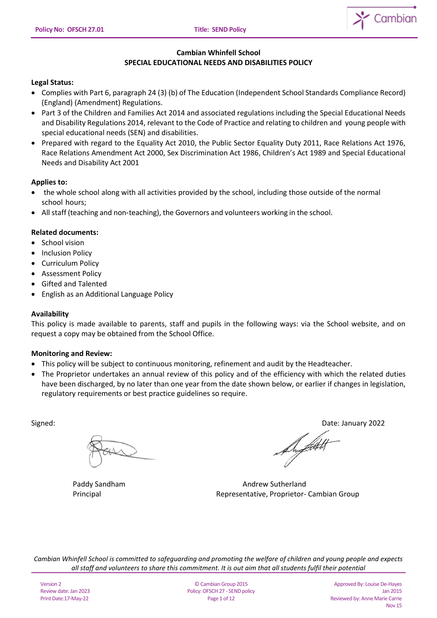

# **Cambian Whinfell School SPECIAL EDUCATIONAL NEEDS AND DISABILITIES POLICY**

# **Legal Status:**

- Complies with Part 6, paragraph 24 (3) (b) of The Education (Independent School Standards Compliance Record) (England) (Amendment) Regulations.
- Part 3 of the Children and Families Act 2014 and associated regulations including the Special Educational Needs and Disability Regulations 2014, relevant to the Code of Practice and relating to children and young people with special educational needs (SEN) and disabilities.
- Prepared with regard to the Equality Act 2010, the Public Sector Equality Duty 2011, Race Relations Act 1976, Race Relations Amendment Act 2000, Sex Discrimination Act 1986, Children's Act 1989 and Special Educational Needs and Disability Act 2001

## **Applies to:**

- the whole school along with all activities provided by the school, including those outside of the normal school hours;
- All staff (teaching and non-teaching), the Governors and volunteers working in the school.

# **Related documents:**

- School vision
- **Inclusion Policy**
- Curriculum Policy
- Assessment Policy
- Gifted and Talented
- English as an Additional Language Policy

## **Availability**

This policy is made available to parents, staff and pupils in the following ways: via the School website, and on request a copy may be obtained from the School Office.

## **Monitoring and Review:**

- This policy will be subject to continuous monitoring, refinement and audit by the Headteacher.
- The Proprietor undertakes an annual review of this policy and of the efficiency with which the related duties have been discharged, by no later than one year from the date shown below, or earlier if changes in legislation, regulatory requirements or best practice guidelines so require.

Signed: Date: January 2022

/Libert

Paddy Sandham **Andrew Sutherland** Principal Representative, Proprietor- Cambian Group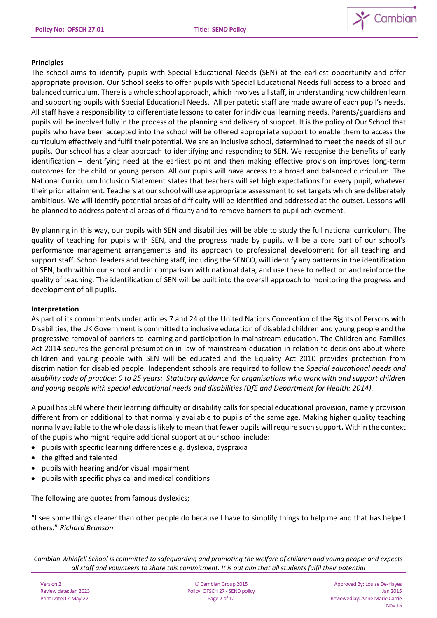

## **Principles**

The school aims to identify pupils with Special Educational Needs (SEN) at the earliest opportunity and offer appropriate provision. Our School seeks to offer pupils with Special Educational Needs full access to a broad and balanced curriculum. There is a whole school approach, which involves all staff, in understanding how children learn and supporting pupils with Special Educational Needs. All peripatetic staff are made aware of each pupil's needs. All staff have a responsibility to differentiate lessons to cater for individual learning needs. Parents/guardians and pupils will be involved fully in the process of the planning and delivery of support. It is the policy of Our School that pupils who have been accepted into the school will be offered appropriate support to enable them to access the curriculum effectively and fulfil their potential. We are an inclusive school, determined to meet the needs of all our pupils. Our school has a clear approach to identifying and responding to SEN. We recognise the benefits of early identification – identifying need at the earliest point and then making effective provision improves long-term outcomes for the child or young person. All our pupils will have access to a broad and balanced curriculum. The National Curriculum Inclusion Statement states that teachers will set high expectations for every pupil, whatever their prior attainment. Teachers at our school will use appropriate assessment to set targets which are deliberately ambitious. We will identify potential areas of difficulty will be identified and addressed at the outset. Lessons will be planned to address potential areas of difficulty and to remove barriers to pupil achievement.

By planning in this way, our pupils with SEN and disabilities will be able to study the full national curriculum. The quality of teaching for pupils with SEN, and the progress made by pupils, will be a core part of our school's performance management arrangements and its approach to professional development for all teaching and support staff. School leaders and teaching staff, including the SENCO, will identify any patterns in the identification of SEN, both within our school and in comparison with national data, and use these to reflect on and reinforce the quality of teaching. The identification of SEN will be built into the overall approach to monitoring the progress and development of all pupils.

### **Interpretation**

As part of its commitments under articles 7 and 24 of the United Nations Convention of the Rights of Persons with Disabilities, the UK Government is committed to inclusive education of disabled children and young people and the progressive removal of barriers to learning and participation in mainstream education. The Children and Families Act 2014 secures the general presumption in law of mainstream education in relation to decisions about where children and young people with SEN will be educated and the Equality Act 2010 provides protection from discrimination for disabled people. Independent schools are required to follow the *Special educational needs and disability code of practice: 0 to 25 years: Statutory guidance for organisations who work with and support children and young people with special educational needs and disabilities (DfE and Department for Health: 2014).*

A pupil has SEN where their learning difficulty or disability calls for special educational provision, namely provision different from or additional to that normally available to pupils of the same age. Making higher quality teaching normally available to the whole class is likely to mean that fewer pupils will require such support**.** Within the context of the pupils who might require additional support at our school include:

- pupils with specific learning differences e.g. dyslexia, dyspraxia
- the gifted and talented
- pupils with hearing and/or visual impairment
- pupils with specific physical and medical conditions

The following are quotes from famous dyslexics;

"I see some things clearer than other people do because I have to simplify things to help me and that has helped others." *Richard Branson*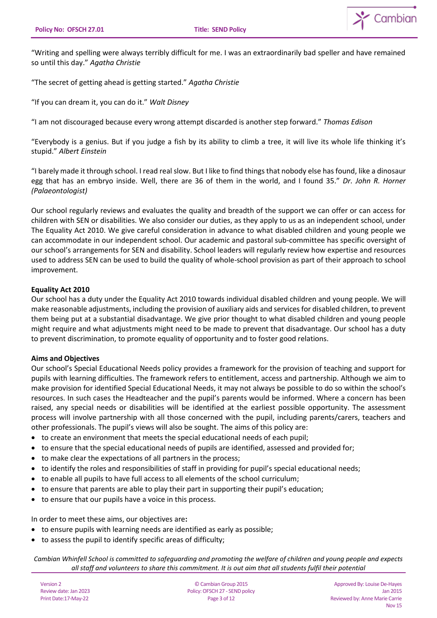

"Writing and spelling were always terribly difficult for me. I was an extraordinarily bad speller and have remained so until this day." *Agatha Christie*

"The secret of getting ahead is getting started." *Agatha Christie*

"If you can dream it, you can do it." *Walt Disney*

"I am not discouraged because every wrong attempt discarded is another step forward." *Thomas Edison*

"Everybody is a genius. But if you judge a fish by its ability to climb a tree, it will live its whole life thinking it's stupid." *Albert Einstein*

"I barely made it through school. I read real slow. But I like to find things that nobody else has found, like a dinosaur egg that has an embryo inside. Well, there are 36 of them in the world, and I found 35." *Dr. John R. Horner (Palaeontologist)*

Our school regularly reviews and evaluates the quality and breadth of the support we can offer or can access for children with SEN or disabilities. We also consider our duties, as they apply to us as an independent school, under The Equality Act 2010. We give careful consideration in advance to what disabled children and young people we can accommodate in our independent school. Our academic and pastoral sub-committee has specific oversight of our school's arrangements for SEN and disability. School leaders will regularly review how expertise and resources used to address SEN can be used to build the quality of whole-school provision as part of their approach to school improvement.

## **Equality Act 2010**

Our school has a duty under the Equality Act 2010 towards individual disabled children and young people. We will make reasonable adjustments, including the provision of auxiliary aids and services for disabled children, to prevent them being put at a substantial disadvantage. We give prior thought to what disabled children and young people might require and what adjustments might need to be made to prevent that disadvantage. Our school has a duty to prevent discrimination, to promote equality of opportunity and to foster good relations.

## **Aims and Objectives**

Our school's Special Educational Needs policy provides a framework for the provision of teaching and support for pupils with learning difficulties. The framework refers to entitlement, access and partnership. Although we aim to make provision for identified Special Educational Needs, it may not always be possible to do so within the school's resources. In such cases the Headteacher and the pupil's parents would be informed. Where a concern has been raised, any special needs or disabilities will be identified at the earliest possible opportunity. The assessment process will involve partnership with all those concerned with the pupil, including parents/carers, teachers and other professionals. The pupil's views will also be sought. The aims of this policy are:

- to create an environment that meets the special educational needs of each pupil;
- to ensure that the special educational needs of pupils are identified, assessed and provided for;
- to make clear the expectations of all partners in the process;
- to identify the roles and responsibilities of staff in providing for pupil's special educational needs;
- to enable all pupils to have full access to all elements of the school curriculum;
- to ensure that parents are able to play their part in supporting their pupil's education;
- to ensure that our pupils have a voice in this process.

In order to meet these aims, our objectives are**:** 

- to ensure pupils with learning needs are identified as early as possible;
- to assess the pupil to identify specific areas of difficulty;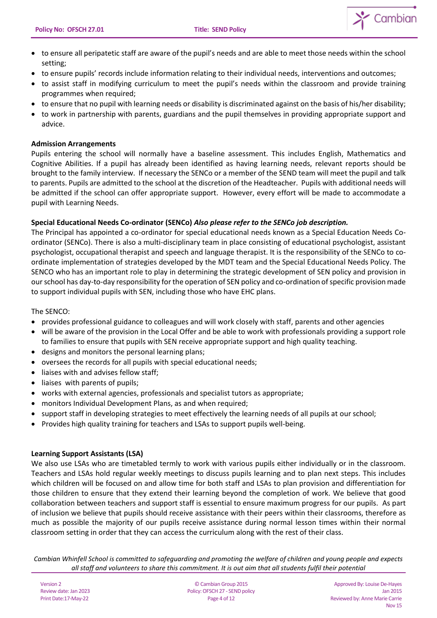

- to ensure all peripatetic staff are aware of the pupil's needs and are able to meet those needs within the school setting;
- to ensure pupils' records include information relating to their individual needs, interventions and outcomes;
- to assist staff in modifying curriculum to meet the pupil's needs within the classroom and provide training programmes when required;
- to ensure that no pupil with learning needs or disability is discriminated against on the basis of his/her disability;
- to work in partnership with parents, guardians and the pupil themselves in providing appropriate support and advice.

# **Admission Arrangements**

Pupils entering the school will normally have a baseline assessment. This includes English, Mathematics and Cognitive Abilities. If a pupil has already been identified as having learning needs, relevant reports should be brought to the family interview. If necessary the SENCo or a member of the SEND team will meet the pupil and talk to parents. Pupils are admitted to the school at the discretion of the Headteacher. Pupils with additional needs will be admitted if the school can offer appropriate support. However, every effort will be made to accommodate a pupil with Learning Needs.

# **Special Educational Needs Co-ordinator (SENCo)** *Also please refer to the SENCo job description.*

The Principal has appointed a co-ordinator for special educational needs known as a Special Education Needs Coordinator (SENCo). There is also a multi-disciplinary team in place consisting of educational psychologist, assistant psychologist, occupational therapist and speech and language therapist. It is the responsibility of the SENCo to coordinate implementation of strategies developed by the MDT team and the Special Educational Needs Policy. The SENCO who has an important role to play in determining the strategic development of SEN policy and provision in our school has day-to-day responsibility for the operation of SEN policy and co-ordination of specific provision made to support individual pupils with SEN, including those who have EHC plans.

The SENCO:

- provides professional guidance to colleagues and will work closely with staff, parents and other agencies
- will be aware of the provision in the Local Offer and be able to work with professionals providing a support role to families to ensure that pupils with SEN receive appropriate support and high quality teaching.
- designs and monitors the personal learning plans;
- oversees the records for all pupils with special educational needs;
- liaises with and advises fellow staff;
- liaises with parents of pupils;
- works with external agencies, professionals and specialist tutors as appropriate;
- monitors Individual Development Plans, as and when required;
- support staff in developing strategies to meet effectively the learning needs of all pupils at our school;
- Provides high quality training for teachers and LSAs to support pupils well-being.

## **Learning Support Assistants (LSA)**

We also use LSAs who are timetabled termly to work with various pupils either individually or in the classroom. Teachers and LSAs hold regular weekly meetings to discuss pupils learning and to plan next steps. This includes which children will be focused on and allow time for both staff and LSAs to plan provision and differentiation for those children to ensure that they extend their learning beyond the completion of work. We believe that good collaboration between teachers and support staff is essential to ensure maximum progress for our pupils. As part of inclusion we believe that pupils should receive assistance with their peers within their classrooms, therefore as much as possible the majority of our pupils receive assistance during normal lesson times within their normal classroom setting in order that they can access the curriculum along with the rest of their class.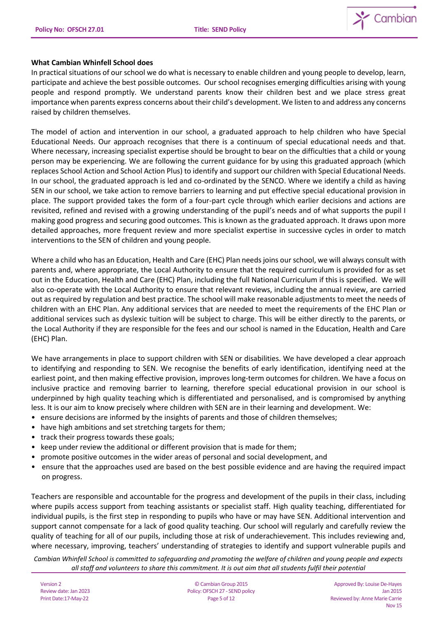

# **What Cambian Whinfell School does**

In practical situations of our school we do what is necessary to enable children and young people to develop, learn, participate and achieve the best possible outcomes. Our school recognises emerging difficulties arising with young people and respond promptly. We understand parents know their children best and we place stress great importance when parents express concerns about their child's development. We listen to and address any concerns raised by children themselves.

The model of action and intervention in our school, a graduated approach to help children who have Special Educational Needs. Our approach recognises that there is a continuum of special educational needs and that. Where necessary, increasing specialist expertise should be brought to bear on the difficulties that a child or young person may be experiencing. We are following the current guidance for by using this graduated approach (which replaces School Action and School Action Plus) to identify and support our children with Special Educational Needs. In our school, the graduated approach is led and co-ordinated by the SENCO. Where we identify a child as having SEN in our school, we take action to remove barriers to learning and put effective special educational provision in place. The support provided takes the form of a four-part cycle through which earlier decisions and actions are revisited, refined and revised with a growing understanding of the pupil's needs and of what supports the pupil I making good progress and securing good outcomes. This is known as the graduated approach. It draws upon more detailed approaches, more frequent review and more specialist expertise in successive cycles in order to match interventions to the SEN of children and young people.

Where a child who has an Education, Health and Care (EHC) Plan needs joins ourschool, we will always consult with parents and, where appropriate, the Local Authority to ensure that the required curriculum is provided for as set out in the Education, Health and Care (EHC) Plan, including the full National Curriculum if this is specified. We will also co-operate with the Local Authority to ensure that relevant reviews, including the annual review, are carried out as required by regulation and best practice. The school will make reasonable adjustments to meet the needs of children with an EHC Plan. Any additional services that are needed to meet the requirements of the EHC Plan or additional services such as dyslexic tuition will be subject to charge. This will be either directly to the parents, or the Local Authority if they are responsible for the fees and our school is named in the Education, Health and Care (EHC) Plan.

We have arrangements in place to support children with SEN or disabilities. We have developed a clear approach to identifying and responding to SEN. We recognise the benefits of early identification, identifying need at the earliest point, and then making effective provision, improves long-term outcomes for children. We have a focus on inclusive practice and removing barrier to learning, therefore special educational provision in our school is underpinned by high quality teaching which is differentiated and personalised, and is compromised by anything less. It is our aim to know precisely where children with SEN are in their learning and development. We:

- ensure decisions are informed by the insights of parents and those of children themselves;
- have high ambitions and set stretching targets for them;
- track their progress towards these goals;
- keep under review the additional or different provision that is made for them;
- promote positive outcomes in the wider areas of personal and social development, and
- ensure that the approaches used are based on the best possible evidence and are having the required impact on progress.

Teachers are responsible and accountable for the progress and development of the pupils in their class, including where pupils access support from teaching assistants or specialist staff. High quality teaching, differentiated for individual pupils, is the first step in responding to pupils who have or may have SEN. Additional intervention and support cannot compensate for a lack of good quality teaching. Our school will regularly and carefully review the quality of teaching for all of our pupils, including those at risk of underachievement. This includes reviewing and, where necessary, improving, teachers' understanding of strategies to identify and support vulnerable pupils and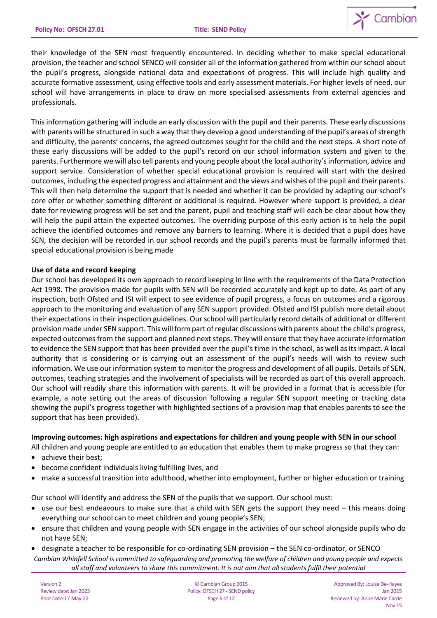

their knowledge of the SEN most frequently encountered. In deciding whether to make special educational provision, the teacher and school SENCO will consider all of the information gathered from within our school about the pupil's progress, alongside national data and expectations of progress. This will include high quality and accurate formative assessment, using effective tools and early assessment materials. For higher levels of need, our school will have arrangements in place to draw on more specialised assessments from external agencies and professionals.

This information gathering will include an early discussion with the pupil and their parents. These early discussions with parents will be structured in such a way that they develop a good understanding of the pupil's areas of strength and difficulty, the parents' concerns, the agreed outcomes sought for the child and the next steps. A short note of these early discussions will be added to the pupil's record on our school information system and given to the parents. Furthermore we will also tell parents and young people about the local authority's information, advice and support service. Consideration of whether special educational provision is required will start with the desired outcomes, including the expected progress and attainment and the views and wishes of the pupil and their parents. This will then help determine the support that is needed and whether it can be provided by adapting our school's core offer or whether something different or additional is required. However where support is provided, a clear date for reviewing progress will be set and the parent, pupil and teaching staff will each be clear about how they will help the pupil attain the expected outcomes. The overriding purpose of this early action is to help the pupil achieve the identified outcomes and remove any barriers to learning. Where it is decided that a pupil does have SEN, the decision will be recorded in our school records and the pupil's parents must be formally informed that special educational provision is being made

## **Use of data and record keeping**

Our school has developed its own approach to record keeping in line with the requirements of the Data Protection Act 1998. The provision made for pupils with SEN will be recorded accurately and kept up to date. As part of any inspection, both Ofsted and ISI will expect to see evidence of pupil progress, a focus on outcomes and a rigorous approach to the monitoring and evaluation of any SEN support provided. Ofsted and ISI publish more detail about their expectations in their inspection guidelines. Our school will particularly record details of additional or different provision made under SEN support. This will form part of regular discussions with parents about the child's progress, expected outcomes from the support and planned next steps. They will ensure that they have accurate information to evidence the SEN support that has been provided over the pupil's time in the school, as well as its impact. A local authority that is considering or is carrying out an assessment of the pupil's needs will wish to review such information. We use our information system to monitor the progress and development of all pupils. Details of SEN, outcomes, teaching strategies and the involvement of specialists will be recorded as part of this overall approach. Our school will readily share this information with parents. It will be provided in a format that is accessible (for example, a note setting out the areas of discussion following a regular SEN support meeting or tracking data showing the pupil's progress together with highlighted sections of a provision map that enables parents to see the support that has been provided).

#### **Improving outcomes: high aspirations and expectations for children and young people with SEN in our school**

All children and young people are entitled to an education that enables them to make progress so that they can:

- achieve their best;
- become confident individuals living fulfilling lives, and
- make a successful transition into adulthood, whether into employment, further or higher education or training

Our school will identify and address the SEN of the pupils that we support. Our school must:

- use our best endeavours to make sure that a child with SEN gets the support they need this means doing everything our school can to meet children and young people's SEN;
- ensure that children and young people with SEN engage in the activities of our school alongside pupils who do not have SEN;
- *Cambian Whinfell School is committed to safeguarding and promoting the welfare of children and young people and expects all staff and volunteers to share this commitment. It is out aim that all students fulfil their potential* • designate a teacher to be responsible for co-ordinating SEN provision – the SEN co-ordinator, or SENCO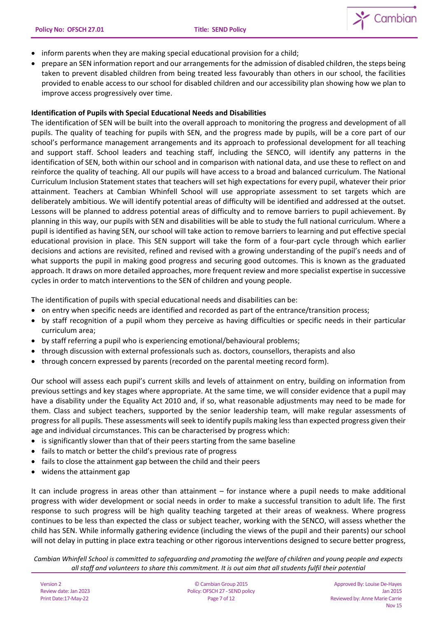

- inform parents when they are making special educational provision for a child;
- prepare an SEN information report and our arrangements for the admission of disabled children, the steps being taken to prevent disabled children from being treated less favourably than others in our school, the facilities provided to enable access to our school for disabled children and our accessibility plan showing how we plan to improve access progressively over time.

## **Identification of Pupils with Special Educational Needs and Disabilities**

The identification of SEN will be built into the overall approach to monitoring the progress and development of all pupils. The quality of teaching for pupils with SEN, and the progress made by pupils, will be a core part of our school's performance management arrangements and its approach to professional development for all teaching and support staff. School leaders and teaching staff, including the SENCO, will identify any patterns in the identification of SEN, both within our school and in comparison with national data, and use these to reflect on and reinforce the quality of teaching. All our pupils will have access to a broad and balanced curriculum. The National Curriculum Inclusion Statement states that teachers will set high expectations for every pupil, whatever their prior attainment. Teachers at Cambian Whinfell School will use appropriate assessment to set targets which are deliberately ambitious. We will identify potential areas of difficulty will be identified and addressed at the outset. Lessons will be planned to address potential areas of difficulty and to remove barriers to pupil achievement. By planning in this way, our pupils with SEN and disabilities will be able to study the full national curriculum. Where a pupil is identified as having SEN, our school will take action to remove barriers to learning and put effective special educational provision in place. This SEN support will take the form of a four-part cycle through which earlier decisions and actions are revisited, refined and revised with a growing understanding of the pupil's needs and of what supports the pupil in making good progress and securing good outcomes. This is known as the graduated approach. It draws on more detailed approaches, more frequent review and more specialist expertise in successive cycles in order to match interventions to the SEN of children and young people.

The identification of pupils with special educational needs and disabilities can be:

- on entry when specific needs are identified and recorded as part of the entrance/transition process;
- by staff recognition of a pupil whom they perceive as having difficulties or specific needs in their particular curriculum area;
- by staff referring a pupil who is experiencing emotional/behavioural problems;
- through discussion with external professionals such as. doctors, counsellors, therapists and also
- through concern expressed by parents (recorded on the parental meeting record form).

Our school will assess each pupil's current skills and levels of attainment on entry, building on information from previous settings and key stages where appropriate. At the same time, we will consider evidence that a pupil may have a disability under the Equality Act 2010 and, if so, what reasonable adjustments may need to be made for them. Class and subject teachers, supported by the senior leadership team, will make regular assessments of progress for all pupils. These assessments will seek to identify pupils making less than expected progress given their age and individual circumstances. This can be characterised by progress which:

- is significantly slower than that of their peers starting from the same baseline
- fails to match or better the child's previous rate of progress
- fails to close the attainment gap between the child and their peers
- widens the attainment gap

It can include progress in areas other than attainment – for instance where a pupil needs to make additional progress with wider development or social needs in order to make a successful transition to adult life. The first response to such progress will be high quality teaching targeted at their areas of weakness. Where progress continues to be less than expected the class or subject teacher, working with the SENCO, will assess whether the child has SEN. While informally gathering evidence (including the views of the pupil and their parents) our school will not delay in putting in place extra teaching or other rigorous interventions designed to secure better progress,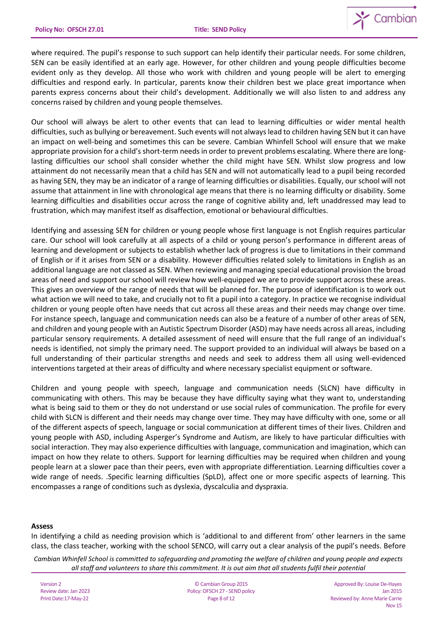

where required. The pupil's response to such support can help identify their particular needs. For some children, SEN can be easily identified at an early age. However, for other children and young people difficulties become evident only as they develop. All those who work with children and young people will be alert to emerging difficulties and respond early. In particular, parents know their children best we place great importance when parents express concerns about their child's development. Additionally we will also listen to and address any concerns raised by children and young people themselves.

Our school will always be alert to other events that can lead to learning difficulties or wider mental health difficulties, such as bullying or bereavement. Such events will not always lead to children having SEN but it can have an impact on well-being and sometimes this can be severe. Cambian Whinfell School will ensure that we make appropriate provision for a child's short-term needs in order to prevent problems escalating. Where there are longlasting difficulties our school shall consider whether the child might have SEN. Whilst slow progress and low attainment do not necessarily mean that a child has SEN and will not automatically lead to a pupil being recorded as having SEN, they may be an indicator of a range of learning difficulties or disabilities. Equally, our school will not assume that attainment in line with chronological age means that there is no learning difficulty or disability. Some learning difficulties and disabilities occur across the range of cognitive ability and, left unaddressed may lead to frustration, which may manifest itself as disaffection, emotional or behavioural difficulties.

Identifying and assessing SEN for children or young people whose first language is not English requires particular care. Our school will look carefully at all aspects of a child or young person's performance in different areas of learning and development or subjects to establish whether lack of progress is due to limitations in their command of English or if it arises from SEN or a disability. However difficulties related solely to limitations in English as an additional language are not classed as SEN. When reviewing and managing special educational provision the broad areas of need and support our school will review how well-equipped we are to provide support across these areas. This gives an overview of the range of needs that will be planned for. The purpose of identification is to work out what action we will need to take, and crucially not to fit a pupil into a category. In practice we recognise individual children or young people often have needs that cut across all these areas and their needs may change over time. For instance speech, language and communication needs can also be a feature of a number of other areas of SEN, and children and young people with an Autistic Spectrum Disorder (ASD) may have needs across all areas, including particular sensory requirements. A detailed assessment of need will ensure that the full range of an individual's needs is identified, not simply the primary need. The support provided to an individual will always be based on a full understanding of their particular strengths and needs and seek to address them all using well-evidenced interventions targeted at their areas of difficulty and where necessary specialist equipment or software.

Children and young people with speech, language and communication needs (SLCN) have difficulty in communicating with others. This may be because they have difficulty saying what they want to, understanding what is being said to them or they do not understand or use social rules of communication. The profile for every child with SLCN is different and their needs may change over time. They may have difficulty with one, some or all of the different aspects of speech, language or social communication at different times of their lives. Children and young people with ASD, including Asperger's Syndrome and Autism, are likely to have particular difficulties with social interaction. They may also experience difficulties with language, communication and imagination, which can impact on how they relate to others. Support for learning difficulties may be required when children and young people learn at a slower pace than their peers, even with appropriate differentiation. Learning difficulties cover a wide range of needs. .Specific learning difficulties (SpLD), affect one or more specific aspects of learning. This encompasses a range of conditions such as dyslexia, dyscalculia and dyspraxia.

#### **Assess**

In identifying a child as needing provision which is 'additional to and different from' other learners in the same class, the class teacher, working with the school SENCO, will carry out a clear analysis of the pupil's needs. Before

*Cambian Whinfell School is committed to safeguarding and promoting the welfare of children and young people and expects all staff and volunteers to share this commitment. It is out aim that all students fulfil their potential*

Version 2 Review date: Jan 2023 Print Date:17-May-22

© Cambian Group 2015 Policy:OFSCH 27 - SEND policy Page 8 of 12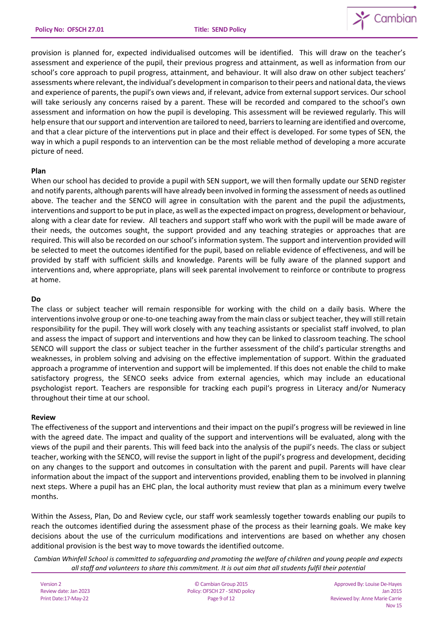

provision is planned for, expected individualised outcomes will be identified. This will draw on the teacher's assessment and experience of the pupil, their previous progress and attainment, as well as information from our school's core approach to pupil progress, attainment, and behaviour. It will also draw on other subject teachers' assessments where relevant, the individual's development in comparison to their peers and national data, the views and experience of parents, the pupil's own views and, if relevant, advice from external support services. Our school will take seriously any concerns raised by a parent. These will be recorded and compared to the school's own assessment and information on how the pupil is developing. This assessment will be reviewed regularly. This will help ensure that our support and intervention are tailored to need, barriers to learning are identified and overcome, and that a clear picture of the interventions put in place and their effect is developed. For some types of SEN, the way in which a pupil responds to an intervention can be the most reliable method of developing a more accurate picture of need.

### **Plan**

When our school has decided to provide a pupil with SEN support, we will then formally update our SEND register and notify parents, although parents will have already been involved in forming the assessment of needs as outlined above. The teacher and the SENCO will agree in consultation with the parent and the pupil the adjustments, interventions and support to be put in place, as well as the expected impact on progress, development or behaviour, along with a clear date for review. All teachers and support staff who work with the pupil will be made aware of their needs, the outcomes sought, the support provided and any teaching strategies or approaches that are required. This will also be recorded on our school's information system. The support and intervention provided will be selected to meet the outcomes identified for the pupil, based on reliable evidence of effectiveness, and will be provided by staff with sufficient skills and knowledge. Parents will be fully aware of the planned support and interventions and, where appropriate, plans will seek parental involvement to reinforce or contribute to progress at home.

### **Do**

The class or subject teacher will remain responsible for working with the child on a daily basis. Where the interventions involve group or one-to-one teaching away from the main class or subject teacher, they will still retain responsibility for the pupil. They will work closely with any teaching assistants or specialist staff involved, to plan and assess the impact of support and interventions and how they can be linked to classroom teaching. The school SENCO will support the class or subject teacher in the further assessment of the child's particular strengths and weaknesses, in problem solving and advising on the effective implementation of support. Within the graduated approach a programme of intervention and support will be implemented. If this does not enable the child to make satisfactory progress, the SENCO seeks advice from external agencies, which may include an educational psychologist report. Teachers are responsible for tracking each pupil's progress in Literacy and/or Numeracy throughout their time at our school.

#### **Review**

The effectiveness of the support and interventions and their impact on the pupil's progress will be reviewed in line with the agreed date. The impact and quality of the support and interventions will be evaluated, along with the views of the pupil and their parents. This will feed back into the analysis of the pupil's needs. The class or subject teacher, working with the SENCO, will revise the support in light of the pupil's progress and development, deciding on any changes to the support and outcomes in consultation with the parent and pupil. Parents will have clear information about the impact of the support and interventions provided, enabling them to be involved in planning next steps. Where a pupil has an EHC plan, the local authority must review that plan as a minimum every twelve months.

Within the Assess, Plan, Do and Review cycle, our staff work seamlessly together towards enabling our pupils to reach the outcomes identified during the assessment phase of the process as their learning goals. We make key decisions about the use of the curriculum modifications and interventions are based on whether any chosen additional provision is the best way to move towards the identified outcome.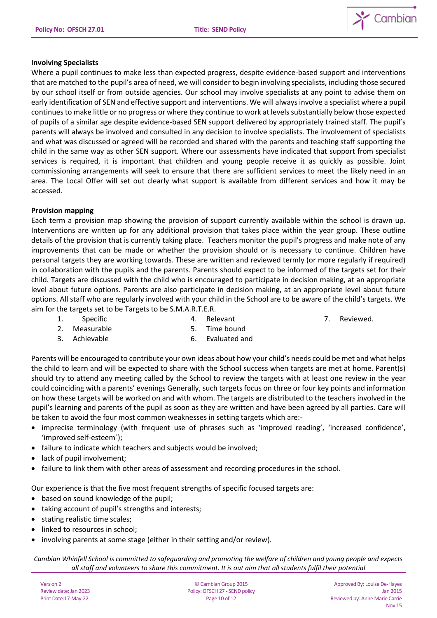

## **Involving Specialists**

Where a pupil continues to make less than expected progress, despite evidence-based support and interventions that are matched to the pupil's area of need, we will consider to begin involving specialists, including those secured by our school itself or from outside agencies. Our school may involve specialists at any point to advise them on early identification of SEN and effective support and interventions. We will always involve a specialist where a pupil continues to make little or no progress or where they continue to work at levels substantially below those expected of pupils of a similar age despite evidence-based SEN support delivered by appropriately trained staff. The pupil's parents will always be involved and consulted in any decision to involve specialists. The involvement of specialists and what was discussed or agreed will be recorded and shared with the parents and teaching staff supporting the child in the same way as other SEN support. Where our assessments have indicated that support from specialist services is required, it is important that children and young people receive it as quickly as possible. Joint commissioning arrangements will seek to ensure that there are sufficient services to meet the likely need in an area. The Local Offer will set out clearly what support is available from different services and how it may be accessed.

## **Provision mapping**

Each term a provision map showing the provision of support currently available within the school is drawn up. Interventions are written up for any additional provision that takes place within the year group. These outline details of the provision that is currently taking place. Teachers monitor the pupil's progress and make note of any improvements that can be made or whether the provision should or is necessary to continue. Children have personal targets they are working towards. These are written and reviewed termly (or more regularly if required) in collaboration with the pupils and the parents. Parents should expect to be informed of the targets set for their child. Targets are discussed with the child who is encouraged to participate in decision making, at an appropriate level about future options. Parents are also participate in decision making, at an appropriate level about future options. All staff who are regularly involved with your child in the School are to be aware of the child's targets. We aim for the targets set to be Targets to be S.M.A.R.T.E.R.

1. Specific

4. Relevant

7. Reviewed.

- 2. Measurable
- 5. Time bound
- 3. Achievable
- 6. Evaluated and

Parents will be encouraged to contribute your own ideas about how your child's needs could be met and what helps the child to learn and will be expected to share with the School success when targets are met at home. Parent(s) should try to attend any meeting called by the School to review the targets with at least one review in the year could coinciding with a parents' evenings Generally, such targets focus on three or four key points and information on how these targets will be worked on and with whom. The targets are distributed to the teachers involved in the pupil's learning and parents of the pupil as soon as they are written and have been agreed by all parties. Care will be taken to avoid the four most common weaknesses in setting targets which are:-

- imprecise terminology (with frequent use of phrases such as 'improved reading', 'increased confidence', 'improved self-esteem`);
- failure to indicate which teachers and subjects would be involved;
- lack of pupil involvement;
- failure to link them with other areas of assessment and recording procedures in the school.

Our experience is that the five most frequent strengths of specific focused targets are:

- based on sound knowledge of the pupil;
- taking account of pupil's strengths and interests;
- stating realistic time scales;
- linked to resources in school;
- involving parents at some stage (either in their setting and/or review).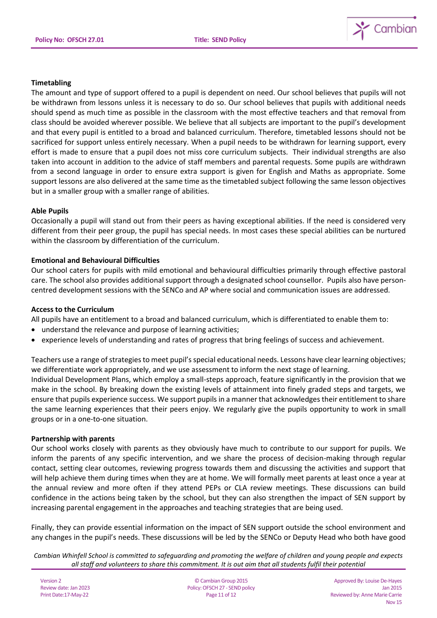

## **Timetabling**

The amount and type of support offered to a pupil is dependent on need. Our school believes that pupils will not be withdrawn from lessons unless it is necessary to do so. Our school believes that pupils with additional needs should spend as much time as possible in the classroom with the most effective teachers and that removal from class should be avoided wherever possible. We believe that all subjects are important to the pupil's development and that every pupil is entitled to a broad and balanced curriculum. Therefore, timetabled lessons should not be sacrificed for support unless entirely necessary. When a pupil needs to be withdrawn for learning support, every effort is made to ensure that a pupil does not miss core curriculum subjects. Their individual strengths are also taken into account in addition to the advice of staff members and parental requests. Some pupils are withdrawn from a second language in order to ensure extra support is given for English and Maths as appropriate. Some support lessons are also delivered at the same time as the timetabled subject following the same lesson objectives but in a smaller group with a smaller range of abilities.

### **Able Pupils**

Occasionally a pupil will stand out from their peers as having exceptional abilities. If the need is considered very different from their peer group, the pupil has special needs. In most cases these special abilities can be nurtured within the classroom by differentiation of the curriculum.

### **Emotional and Behavioural Difficulties**

Our school caters for pupils with mild emotional and behavioural difficulties primarily through effective pastoral care. The school also provides additional support through a designated school counsellor. Pupils also have personcentred development sessions with the SENCo and AP where social and communication issues are addressed.

#### **Access to the Curriculum**

All pupils have an entitlement to a broad and balanced curriculum, which is differentiated to enable them to:

- understand the relevance and purpose of learning activities;
- experience levels of understanding and rates of progress that bring feelings of success and achievement.

Teachers use a range of strategies to meet pupil's special educational needs. Lessons have clear learning objectives; we differentiate work appropriately, and we use assessment to inform the next stage of learning.

Individual Development Plans, which employ a small-steps approach, feature significantly in the provision that we make in the school. By breaking down the existing levels of attainment into finely graded steps and targets, we ensure that pupils experience success. We support pupils in a manner that acknowledges their entitlement to share the same learning experiences that their peers enjoy. We regularly give the pupils opportunity to work in small groups or in a one-to-one situation.

#### **Partnership with parents**

Our school works closely with parents as they obviously have much to contribute to our support for pupils. We inform the parents of any specific intervention, and we share the process of decision-making through regular contact, setting clear outcomes, reviewing progress towards them and discussing the activities and support that will help achieve them during times when they are at home. We will formally meet parents at least once a year at the annual review and more often if they attend PEPs or CLA review meetings. These discussions can build confidence in the actions being taken by the school, but they can also strengthen the impact of SEN support by increasing parental engagement in the approaches and teaching strategies that are being used.

Finally, they can provide essential information on the impact of SEN support outside the school environment and any changes in the pupil's needs. These discussions will be led by the SENCo or Deputy Head who both have good